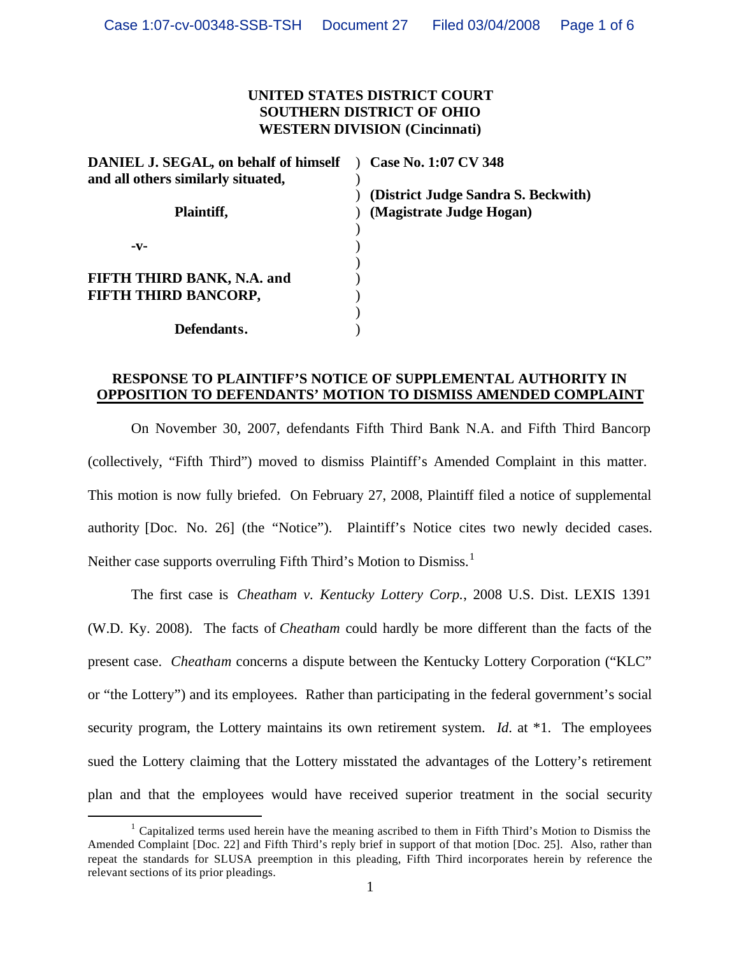## **UNITED STATES DISTRICT COURT SOUTHERN DISTRICT OF OHIO WESTERN DIVISION (Cincinnati)**

| DANIEL J. SEGAL, on behalf of himself | Case No. 1:07 CV 348                |
|---------------------------------------|-------------------------------------|
| and all others similarly situated,    |                                     |
|                                       | (District Judge Sandra S. Beckwith) |
| Plaintiff,                            | (Magistrate Judge Hogan)            |
|                                       |                                     |
| -v-                                   |                                     |
|                                       |                                     |
| FIFTH THIRD BANK, N.A. and            |                                     |
| FIFTH THIRD BANCORP,                  |                                     |
|                                       |                                     |
| Defendants.                           |                                     |

## **RESPONSE TO PLAINTIFF'S NOTICE OF SUPPLEMENTAL AUTHORITY IN OPPOSITION TO DEFENDANTS' MOTION TO DISMISS AMENDED COMPLAINT**

On November 30, 2007, defendants Fifth Third Bank N.A. and Fifth Third Bancorp (collectively, "Fifth Third") moved to dismiss Plaintiff's Amended Complaint in this matter. This motion is now fully briefed. On February 27, 2008, Plaintiff filed a notice of supplemental authority [Doc. No. 26] (the "Notice"). Plaintiff's Notice cites two newly decided cases. Neither case supports overruling Fifth Third's Motion to Dismiss.<sup>1</sup>

The first case is *Cheatham v. Kentucky Lottery Corp.*, 2008 U.S. Dist. LEXIS 1391 (W.D. Ky. 2008). The facts of *Cheatham* could hardly be more different than the facts of the present case. *Cheatham* concerns a dispute between the Kentucky Lottery Corporation ("KLC" or "the Lottery") and its employees. Rather than participating in the federal government's social security program, the Lottery maintains its own retirement system. *Id*. at \*1. The employees sued the Lottery claiming that the Lottery misstated the advantages of the Lottery's retirement plan and that the employees would have received superior treatment in the social security

<sup>&</sup>lt;sup>1</sup> Capitalized terms used herein have the meaning ascribed to them in Fifth Third's Motion to Dismiss the Amended Complaint [Doc. 22] and Fifth Third's reply brief in support of that motion [Doc. 25]. Also, rather than repeat the standards for SLUSA preemption in this pleading, Fifth Third incorporates herein by reference the relevant sections of its prior pleadings.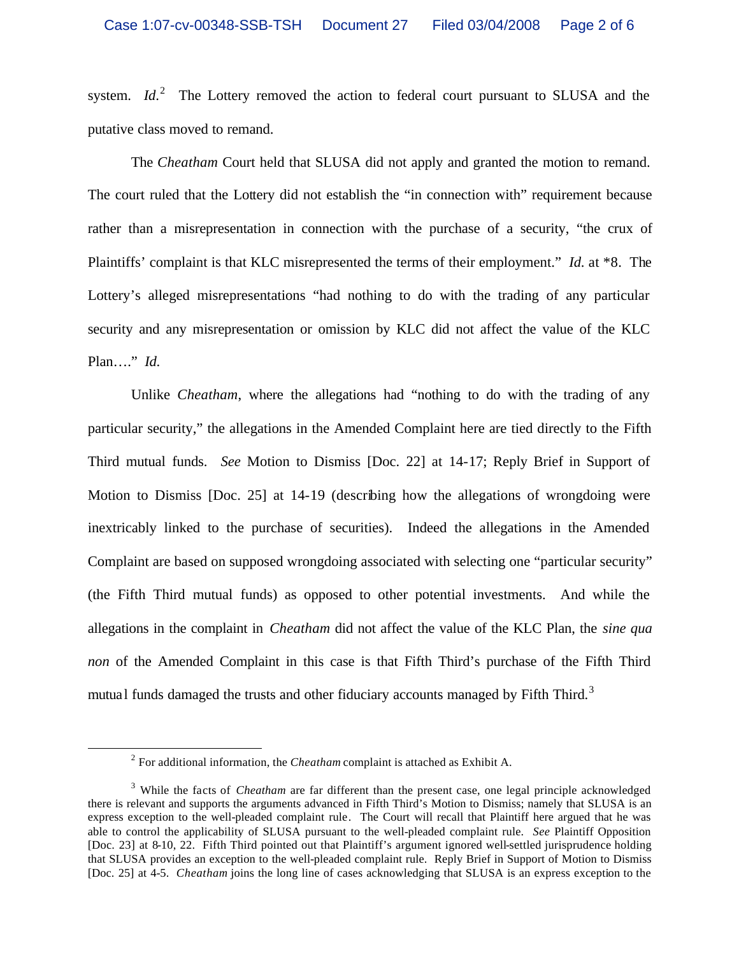system.  $Id<sup>2</sup>$  The Lottery removed the action to federal court pursuant to SLUSA and the putative class moved to remand.

The *Cheatham* Court held that SLUSA did not apply and granted the motion to remand. The court ruled that the Lottery did not establish the "in connection with" requirement because rather than a misrepresentation in connection with the purchase of a security, "the crux of Plaintiffs' complaint is that KLC misrepresented the terms of their employment." *Id*. at \*8. The Lottery's alleged misrepresentations "had nothing to do with the trading of any particular security and any misrepresentation or omission by KLC did not affect the value of the KLC Plan…." *Id*.

Unlike *Cheatham*, where the allegations had "nothing to do with the trading of any particular security," the allegations in the Amended Complaint here are tied directly to the Fifth Third mutual funds. *See* Motion to Dismiss [Doc. 22] at 14-17; Reply Brief in Support of Motion to Dismiss [Doc. 25] at 14-19 (describing how the allegations of wrongdoing were inextricably linked to the purchase of securities). Indeed the allegations in the Amended Complaint are based on supposed wrongdoing associated with selecting one "particular security" (the Fifth Third mutual funds) as opposed to other potential investments. And while the allegations in the complaint in *Cheatham* did not affect the value of the KLC Plan, the *sine qua non* of the Amended Complaint in this case is that Fifth Third's purchase of the Fifth Third mutual funds damaged the trusts and other fiduciary accounts managed by Fifth Third.<sup>3</sup>

<sup>2</sup> For additional information, the *Cheatham* complaint is attached as Exhibit A.

<sup>&</sup>lt;sup>3</sup> While the facts of *Cheatham* are far different than the present case, one legal principle acknowledged there is relevant and supports the arguments advanced in Fifth Third's Motion to Dismiss; namely that SLUSA is an express exception to the well-pleaded complaint rule. The Court will recall that Plaintiff here argued that he was able to control the applicability of SLUSA pursuant to the well-pleaded complaint rule. *See* Plaintiff Opposition [Doc. 23] at 8-10, 22. Fifth Third pointed out that Plaintiff's argument ignored well-settled jurisprudence holding that SLUSA provides an exception to the well-pleaded complaint rule. Reply Brief in Support of Motion to Dismiss [Doc. 25] at 4-5. *Cheatham* joins the long line of cases acknowledging that SLUSA is an express exception to the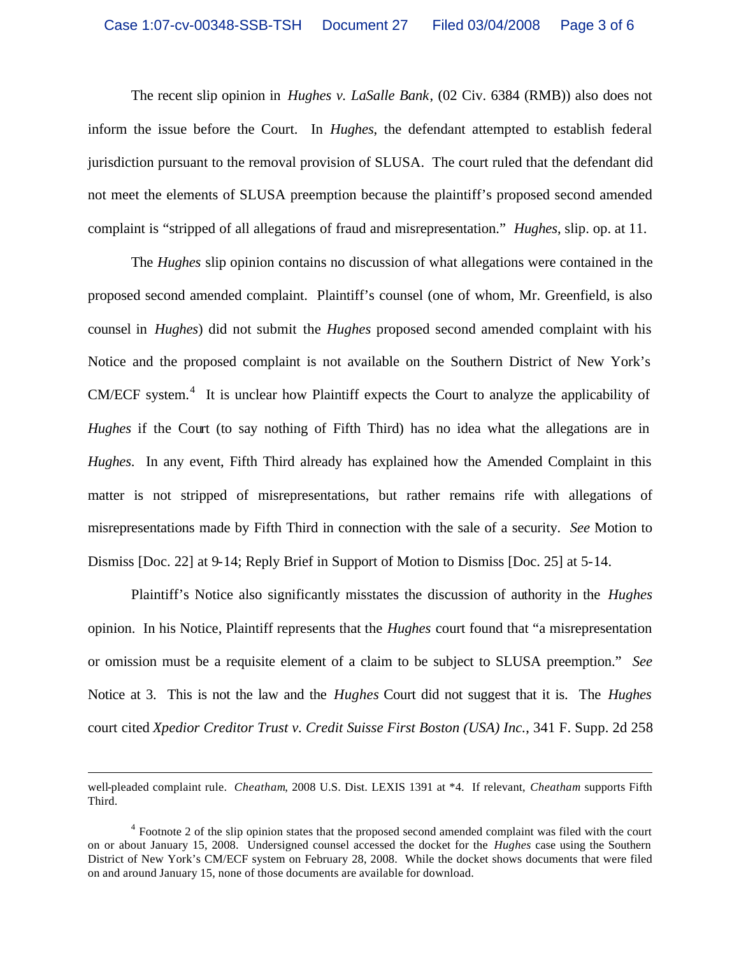The recent slip opinion in *Hughes v. LaSalle Bank*, (02 Civ. 6384 (RMB)) also does not inform the issue before the Court. In *Hughes*, the defendant attempted to establish federal jurisdiction pursuant to the removal provision of SLUSA. The court ruled that the defendant did not meet the elements of SLUSA preemption because the plaintiff's proposed second amended complaint is "stripped of all allegations of fraud and misrepresentation." *Hughes*, slip. op. at 11.

The *Hughes* slip opinion contains no discussion of what allegations were contained in the proposed second amended complaint. Plaintiff's counsel (one of whom, Mr. Greenfield, is also counsel in *Hughes*) did not submit the *Hughes* proposed second amended complaint with his Notice and the proposed complaint is not available on the Southern District of New York's  $CM/ECF$  system.<sup>4</sup> It is unclear how Plaintiff expects the Court to analyze the applicability of *Hughes* if the Court (to say nothing of Fifth Third) has no idea what the allegations are in *Hughes*. In any event, Fifth Third already has explained how the Amended Complaint in this matter is not stripped of misrepresentations, but rather remains rife with allegations of misrepresentations made by Fifth Third in connection with the sale of a security. *See* Motion to Dismiss [Doc. 22] at 9-14; Reply Brief in Support of Motion to Dismiss [Doc. 25] at 5-14.

Plaintiff's Notice also significantly misstates the discussion of authority in the *Hughes*  opinion. In his Notice, Plaintiff represents that the *Hughes* court found that "a misrepresentation or omission must be a requisite element of a claim to be subject to SLUSA preemption." *See* Notice at 3. This is not the law and the *Hughes* Court did not suggest that it is. The *Hughes* court cited *Xpedior Creditor Trust v. Credit Suisse First Boston (USA) Inc.*, 341 F. Supp. 2d 258

well-pleaded complaint rule. *Cheatham*, 2008 U.S. Dist. LEXIS 1391 at \*4. If relevant, *Cheatham* supports Fifth Third.

<sup>&</sup>lt;sup>4</sup> Footnote 2 of the slip opinion states that the proposed second amended complaint was filed with the court on or about January 15, 2008. Undersigned counsel accessed the docket for the *Hughes* case using the Southern District of New York's CM/ECF system on February 28, 2008. While the docket shows documents that were filed on and around January 15, none of those documents are available for download.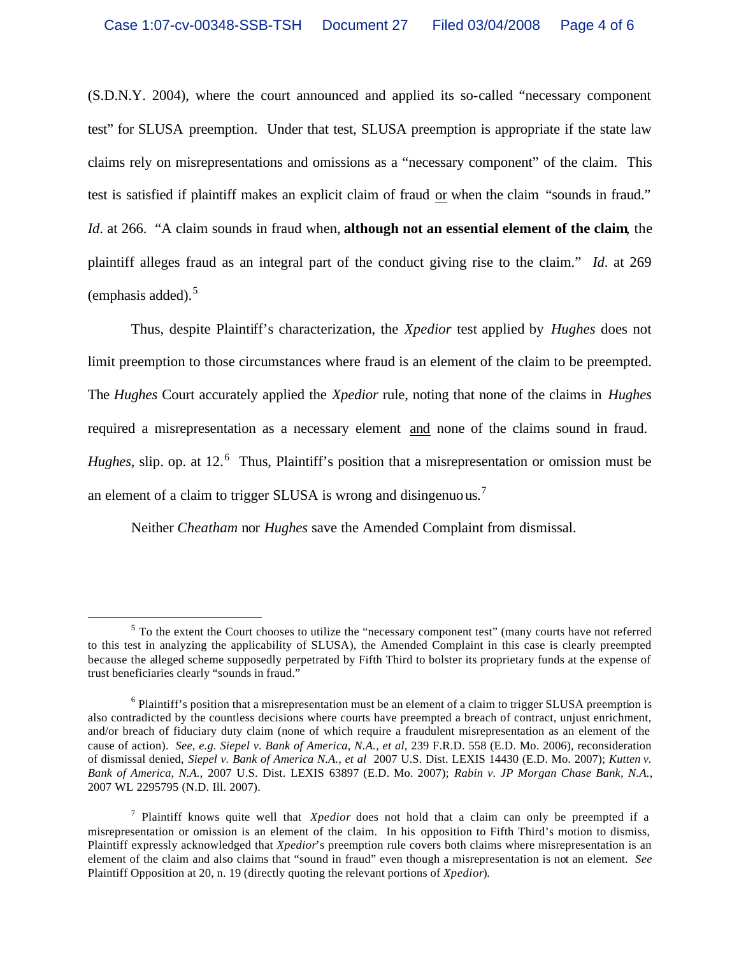(S.D.N.Y. 2004), where the court announced and applied its so-called "necessary component test" for SLUSA preemption. Under that test, SLUSA preemption is appropriate if the state law claims rely on misrepresentations and omissions as a "necessary component" of the claim. This test is satisfied if plaintiff makes an explicit claim of fraud or when the claim "sounds in fraud." *Id*. at 266. "A claim sounds in fraud when, **although not an essential element of the claim**, the plaintiff alleges fraud as an integral part of the conduct giving rise to the claim." *Id*. at 269 (emphasis added).<sup>5</sup>

Thus, despite Plaintiff's characterization, the *Xpedior* test applied by *Hughes* does not limit preemption to those circumstances where fraud is an element of the claim to be preempted. The *Hughes* Court accurately applied the *Xpedior* rule, noting that none of the claims in *Hughes* required a misrepresentation as a necessary element and none of the claims sound in fraud. *Hughes*, slip. op. at 12.<sup>6</sup> Thus, Plaintiff's position that a misrepresentation or omission must be an element of a claim to trigger SLUSA is wrong and disingenuous.<sup>7</sup>

Neither *Cheatham* nor *Hughes* save the Amended Complaint from dismissal.

<sup>&</sup>lt;sup>5</sup> To the extent the Court chooses to utilize the "necessary component test" (many courts have not referred to this test in analyzing the applicability of SLUSA), the Amended Complaint in this case is clearly preempted because the alleged scheme supposedly perpetrated by Fifth Third to bolster its proprietary funds at the expense of trust beneficiaries clearly "sounds in fraud."

<sup>&</sup>lt;sup>6</sup> Plaintiff's position that a misrepresentation must be an element of a claim to trigger SLUSA preemption is also contradicted by the countless decisions where courts have preempted a breach of contract, unjust enrichment, and/or breach of fiduciary duty claim (none of which require a fraudulent misrepresentation as an element of the cause of action). *See, e.g. Siepel v. Bank of America, N.A., et al*, 239 F.R.D. 558 (E.D. Mo. 2006), reconsideration of dismissal denied, *Siepel v. Bank of America N.A., et al* 2007 U.S. Dist. LEXIS 14430 (E.D. Mo. 2007); *Kutten v. Bank of America, N.A.*, 2007 U.S. Dist. LEXIS 63897 (E.D. Mo. 2007); *Rabin v. JP Morgan Chase Bank, N.A.*, 2007 WL 2295795 (N.D. Ill. 2007).

<sup>7</sup> Plaintiff knows quite well that *Xpedior* does not hold that a claim can only be preempted if a misrepresentation or omission is an element of the claim. In his opposition to Fifth Third's motion to dismiss, Plaintiff expressly acknowledged that *Xpedior*'s preemption rule covers both claims where misrepresentation is an element of the claim and also claims that "sound in fraud" even though a misrepresentation is not an element. *See* Plaintiff Opposition at 20, n. 19 (directly quoting the relevant portions of *Xpedior*).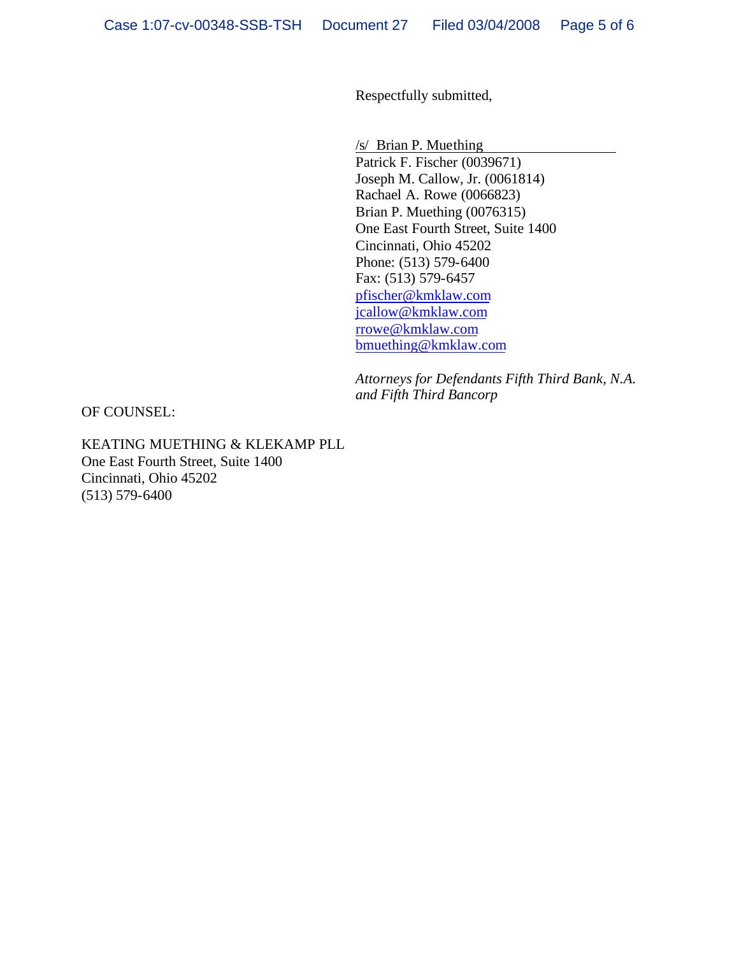Respectfully submitted,

/s/ Brian P. Muething

Patrick F. Fischer (0039671) Joseph M. Callow, Jr. (0061814) Rachael A. Rowe (0066823) Brian P. Muething (0076315) One East Fourth Street, Suite 1400 Cincinnati, Ohio 45202 Phone: (513) 579-6400 Fax: (513) 579-6457 pfischer@kmklaw.com jcallow@kmklaw.com rrowe@kmklaw.com bmuething@kmklaw.com

*Attorneys for Defendants Fifth Third Bank, N.A. and Fifth Third Bancorp*

OF COUNSEL:

KEATING MUETHING & KLEKAMP PLL One East Fourth Street, Suite 1400 Cincinnati, Ohio 45202 (513) 579-6400